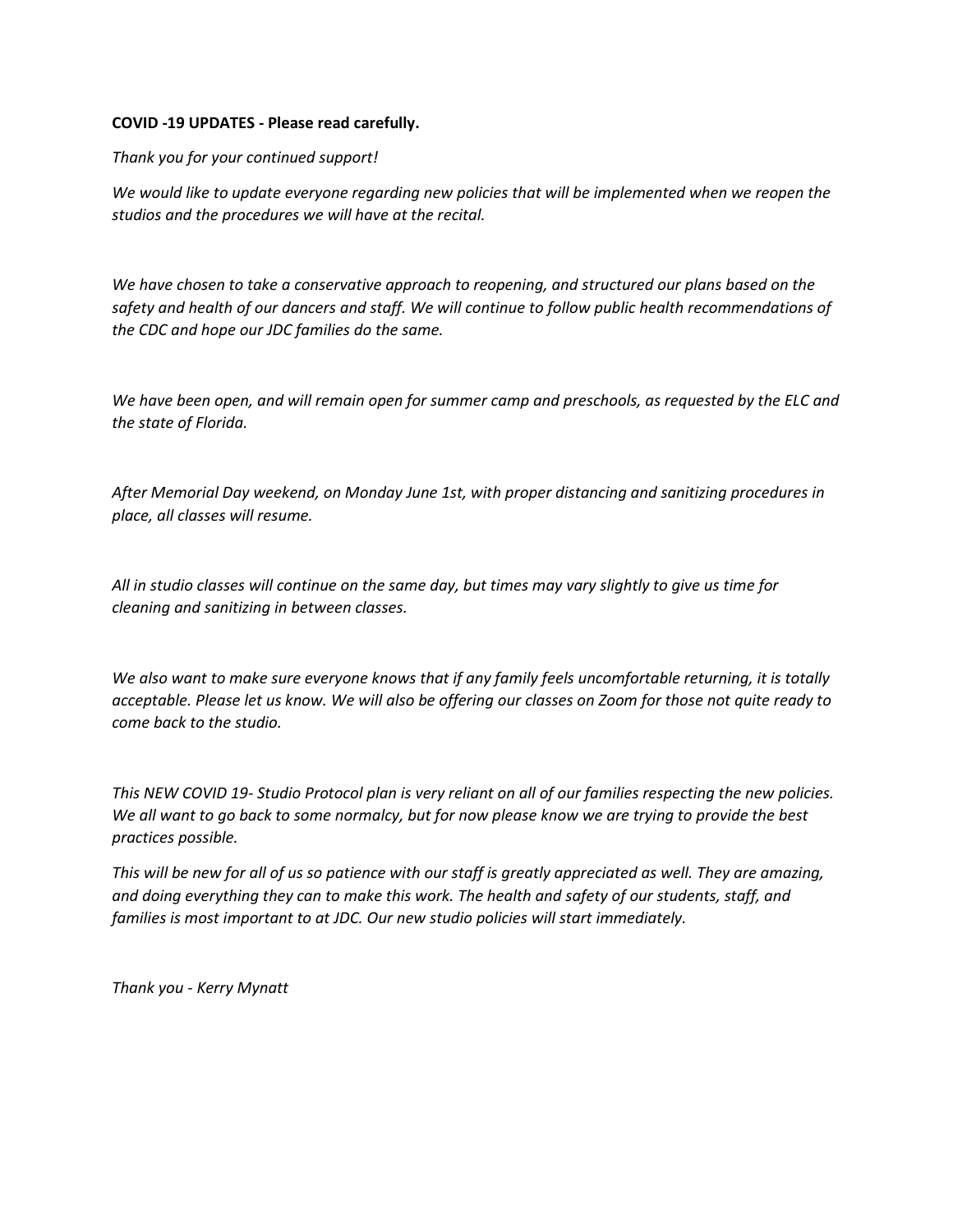# **COVID -19 UPDATES - Please read carefully.**

*Thank you for your continued support!*

*We would like to update everyone regarding new policies that will be implemented when we reopen the studios and the procedures we will have at the recital.*

*We have chosen to take a conservative approach to reopening, and structured our plans based on the safety and health of our dancers and staff. We will continue to follow public health recommendations of the CDC and hope our JDC families do the same.*

*We have been open, and will remain open for summer camp and preschools, as requested by the ELC and the state of Florida.*

*After Memorial Day weekend, on Monday June 1st, with proper distancing and sanitizing procedures in place, all classes will resume.*

*All in studio classes will continue on the same day, but times may vary slightly to give us time for cleaning and sanitizing in between classes.*

*We also want to make sure everyone knows that if any family feels uncomfortable returning, it is totally acceptable. Please let us know. We will also be offering our classes on Zoom for those not quite ready to come back to the studio.*

*This NEW COVID 19- Studio Protocol plan is very reliant on all of our families respecting the new policies. We all want to go back to some normalcy, but for now please know we are trying to provide the best practices possible.*

*This will be new for all of us so patience with our staff is greatly appreciated as well. They are amazing, and doing everything they can to make this work. The health and safety of our students, staff, and families is most important to at JDC. Our new studio policies will start immediately.*

*Thank you - Kerry Mynatt*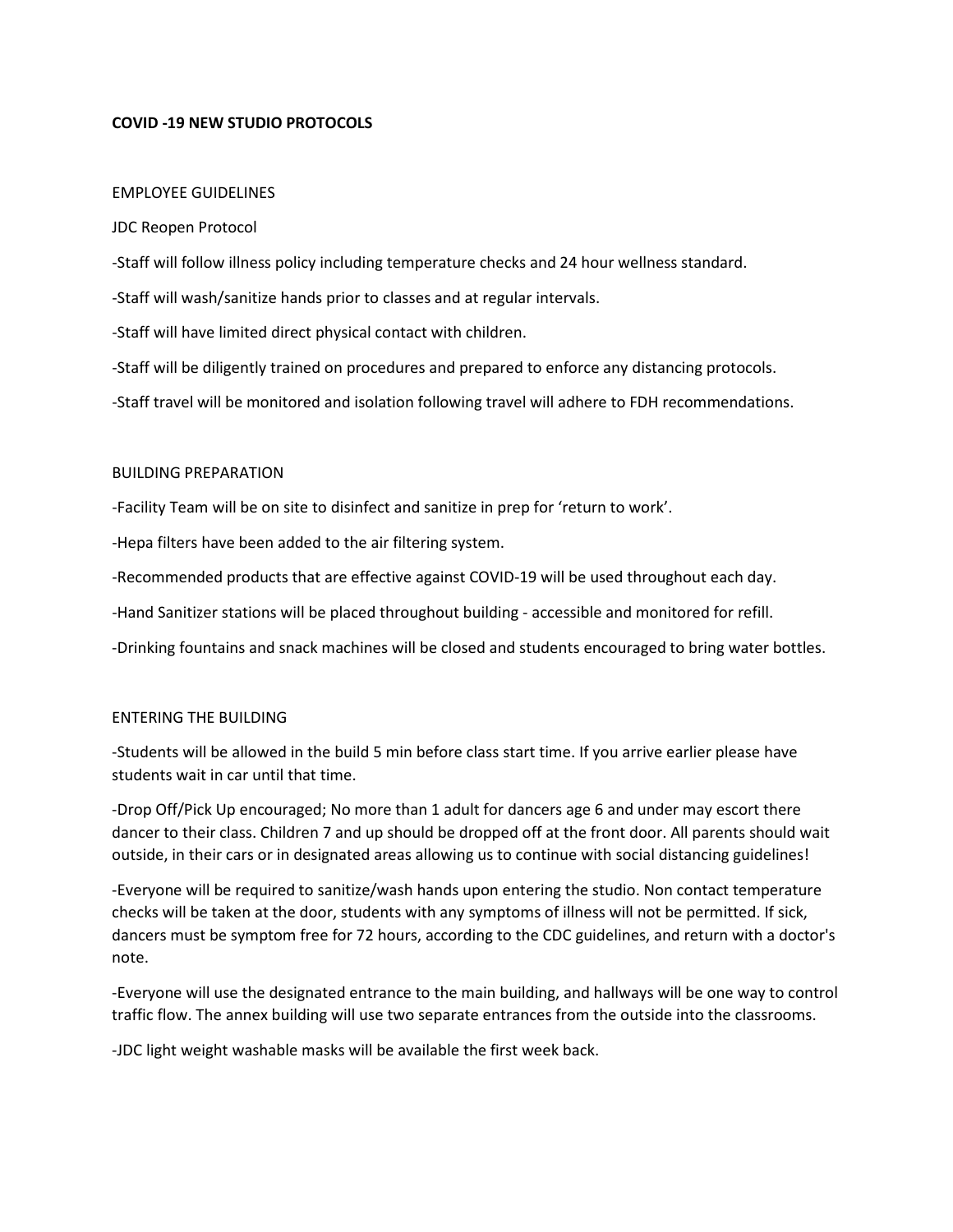# **COVID -19 NEW STUDIO PROTOCOLS**

### EMPLOYEE GUIDELINES

### JDC Reopen Protocol

-Staff will follow illness policy including temperature checks and 24 hour wellness standard.

-Staff will wash/sanitize hands prior to classes and at regular intervals.

-Staff will have limited direct physical contact with children.

-Staff will be diligently trained on procedures and prepared to enforce any distancing protocols.

-Staff travel will be monitored and isolation following travel will adhere to FDH recommendations.

#### BUILDING PREPARATION

-Facility Team will be on site to disinfect and sanitize in prep for 'return to work'.

-Hepa filters have been added to the air filtering system.

-Recommended products that are effective against COVID-19 will be used throughout each day.

-Hand Sanitizer stations will be placed throughout building - accessible and monitored for refill.

-Drinking fountains and snack machines will be closed and students encouraged to bring water bottles.

### ENTERING THE BUILDING

-Students will be allowed in the build 5 min before class start time. If you arrive earlier please have students wait in car until that time.

-Drop Off/Pick Up encouraged; No more than 1 adult for dancers age 6 and under may escort there dancer to their class. Children 7 and up should be dropped off at the front door. All parents should wait outside, in their cars or in designated areas allowing us to continue with social distancing guidelines!

-Everyone will be required to sanitize/wash hands upon entering the studio. Non contact temperature checks will be taken at the door, students with any symptoms of illness will not be permitted. If sick, dancers must be symptom free for 72 hours, according to the CDC guidelines, and return with a doctor's note.

-Everyone will use the designated entrance to the main building, and hallways will be one way to control traffic flow. The annex building will use two separate entrances from the outside into the classrooms.

-JDC light weight washable masks will be available the first week back.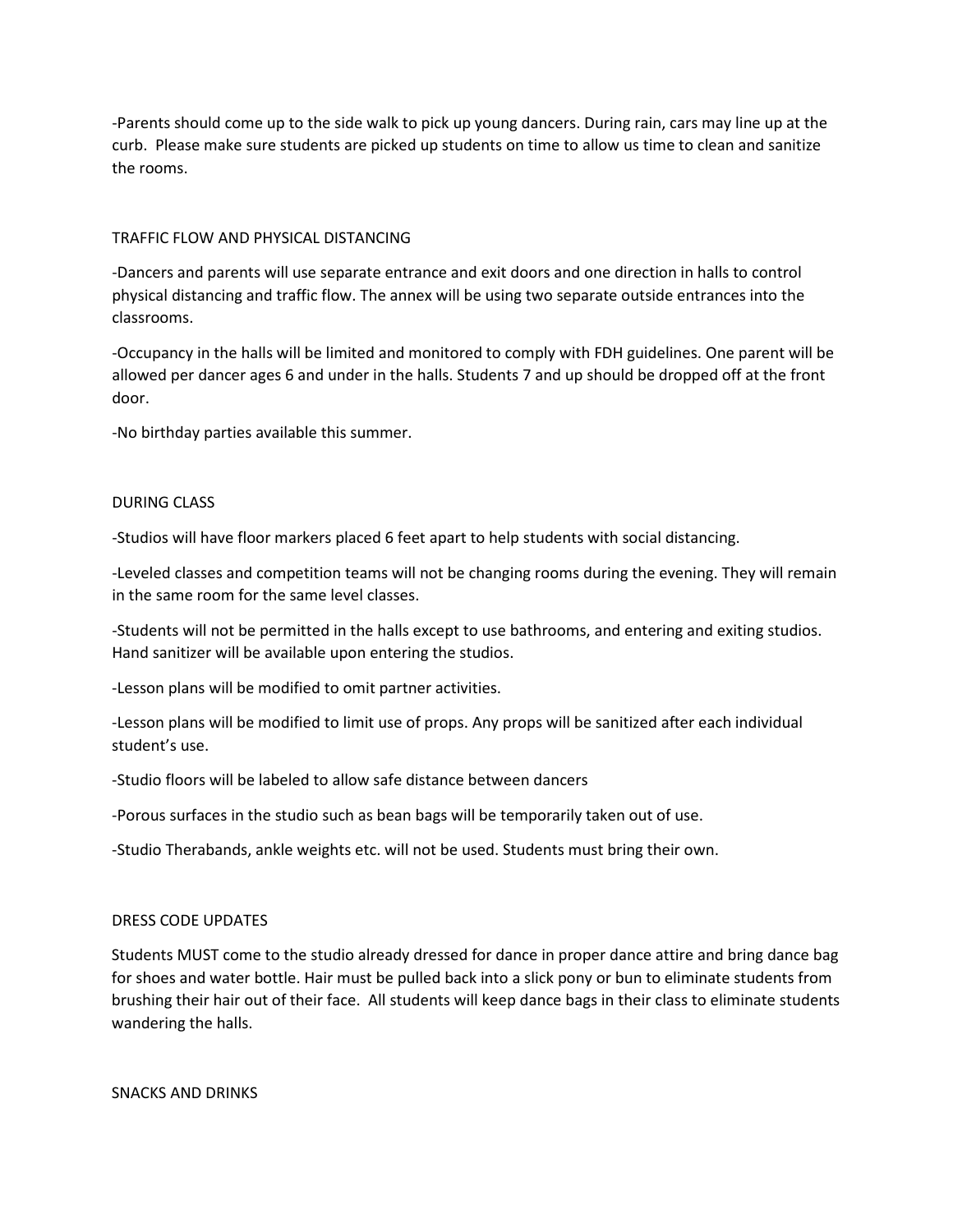-Parents should come up to the side walk to pick up young dancers. During rain, cars may line up at the curb. Please make sure students are picked up students on time to allow us time to clean and sanitize the rooms.

## TRAFFIC FLOW AND PHYSICAL DISTANCING

-Dancers and parents will use separate entrance and exit doors and one direction in halls to control physical distancing and traffic flow. The annex will be using two separate outside entrances into the classrooms.

-Occupancy in the halls will be limited and monitored to comply with FDH guidelines. One parent will be allowed per dancer ages 6 and under in the halls. Students 7 and up should be dropped off at the front door.

-No birthday parties available this summer.

## DURING CLASS

-Studios will have floor markers placed 6 feet apart to help students with social distancing.

-Leveled classes and competition teams will not be changing rooms during the evening. They will remain in the same room for the same level classes.

-Students will not be permitted in the halls except to use bathrooms, and entering and exiting studios. Hand sanitizer will be available upon entering the studios.

-Lesson plans will be modified to omit partner activities.

-Lesson plans will be modified to limit use of props. Any props will be sanitized after each individual student's use.

-Studio floors will be labeled to allow safe distance between dancers

-Porous surfaces in the studio such as bean bags will be temporarily taken out of use.

-Studio Therabands, ankle weights etc. will not be used. Students must bring their own.

### DRESS CODE UPDATES

Students MUST come to the studio already dressed for dance in proper dance attire and bring dance bag for shoes and water bottle. Hair must be pulled back into a slick pony or bun to eliminate students from brushing their hair out of their face. All students will keep dance bags in their class to eliminate students wandering the halls.

SNACKS AND DRINKS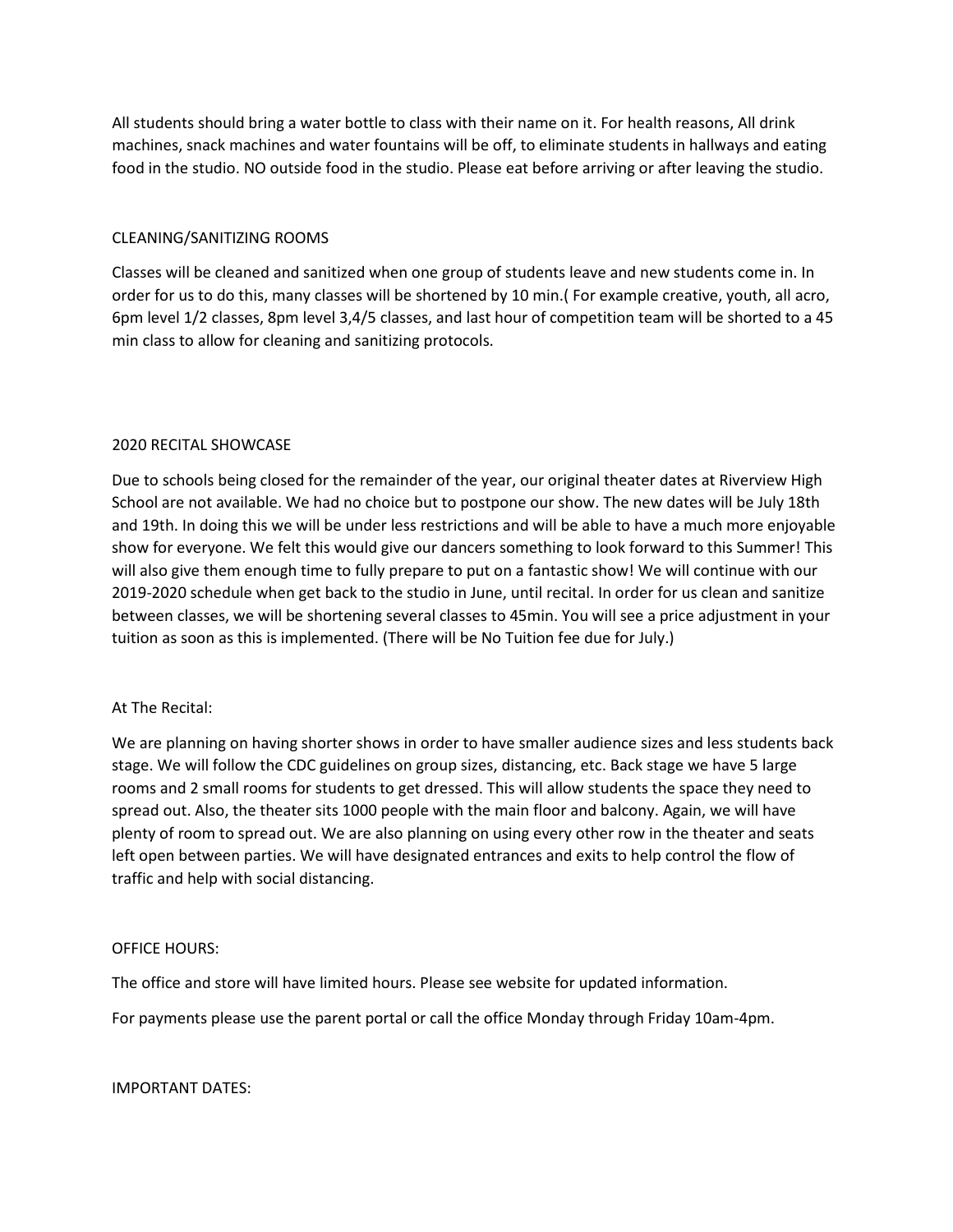All students should bring a water bottle to class with their name on it. For health reasons, All drink machines, snack machines and water fountains will be off, to eliminate students in hallways and eating food in the studio. NO outside food in the studio. Please eat before arriving or after leaving the studio.

# CLEANING/SANITIZING ROOMS

Classes will be cleaned and sanitized when one group of students leave and new students come in. In order for us to do this, many classes will be shortened by 10 min.( For example creative, youth, all acro, 6pm level 1/2 classes, 8pm level 3,4/5 classes, and last hour of competition team will be shorted to a 45 min class to allow for cleaning and sanitizing protocols.

# 2020 RECITAL SHOWCASE

Due to schools being closed for the remainder of the year, our original theater dates at Riverview High School are not available. We had no choice but to postpone our show. The new dates will be July 18th and 19th. In doing this we will be under less restrictions and will be able to have a much more enjoyable show for everyone. We felt this would give our dancers something to look forward to this Summer! This will also give them enough time to fully prepare to put on a fantastic show! We will continue with our 2019-2020 schedule when get back to the studio in June, until recital. In order for us clean and sanitize between classes, we will be shortening several classes to 45min. You will see a price adjustment in your tuition as soon as this is implemented. (There will be No Tuition fee due for July.)

### At The Recital:

We are planning on having shorter shows in order to have smaller audience sizes and less students back stage. We will follow the CDC guidelines on group sizes, distancing, etc. Back stage we have 5 large rooms and 2 small rooms for students to get dressed. This will allow students the space they need to spread out. Also, the theater sits 1000 people with the main floor and balcony. Again, we will have plenty of room to spread out. We are also planning on using every other row in the theater and seats left open between parties. We will have designated entrances and exits to help control the flow of traffic and help with social distancing.

### OFFICE HOURS:

The office and store will have limited hours. Please see website for updated information.

For payments please use the parent portal or call the office Monday through Friday 10am-4pm.

IMPORTANT DATES: